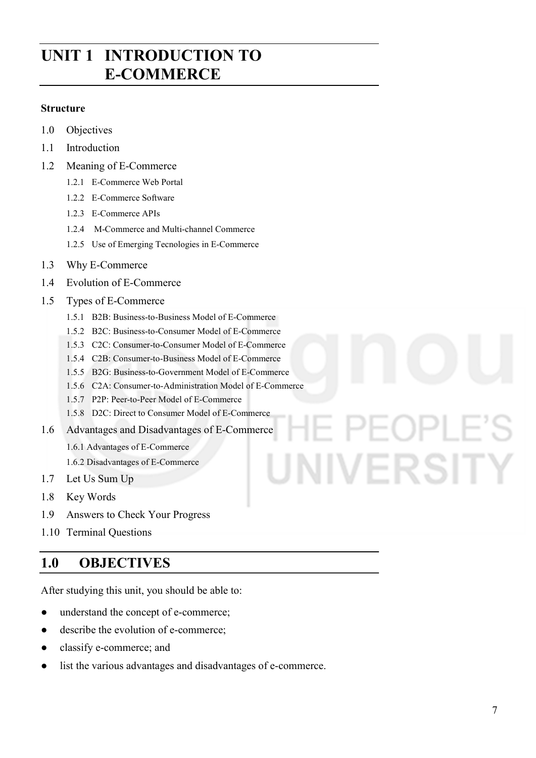# **UNIT 1 INTRODUCTION TO E-COMMERCE**

#### **Structure**

- 1.0 Objectives
- 1.1 Introduction
- 1.2 Meaning of E-Commerce
	- 1.2.1 E-Commerce Web Portal
	- 1.2.2 E-Commerce Software
	- 1.2.3 E-Commerce APIs
	- 1.2.4 M-Commerce and Multi-channel Commerce
	- 1.2.5 Use of Emerging Tecnologies in E-Commerce
- 1.3 Why E-Commerce
- 1.4 Evolution of E-Commerce
- 1.5 Types of E-Commerce
	- 1.5.1 B2B: Business-to-Business Model of E-Commerce
	- 1.5.2 B2C: Business-to-Consumer Model of E-Commerce
	- 1.5.3 C2C: Consumer-to-Consumer Model of E-Commerce
	- 1.5.4 C2B: Consumer-to-Business Model of E-Commerce
	- 1.5.5 B2G: Business-to-Government Model of E-Commerce
	- 1.5.6 C2A: Consumer-to-Administration Model of E-Commerce
	- 1.5.7 P2P: Peer-to-Peer Model of E-Commerce
	- 1.5.8 D2C: Direct to Consumer Model of E-Commerce
- 1.6 Advantages and Disadvantages of E-Commerce
	- 1.6.1 Advantages of E-Commerce
	- 1.6.2 Disadvantages of E-Commerce
- 1.7 Let Us Sum Up
- 1.8 Key Words
- 1.9 Answers to Check Your Progress
- 1.10 Terminal Questions

# **1.0 OBJECTIVES**

After studying this unit, you should be able to:

- understand the concept of e-commerce;
- describe the evolution of e-commerce;
- classify e-commerce; and
- list the various advantages and disadvantages of e-commerce.

# UNIVERSITY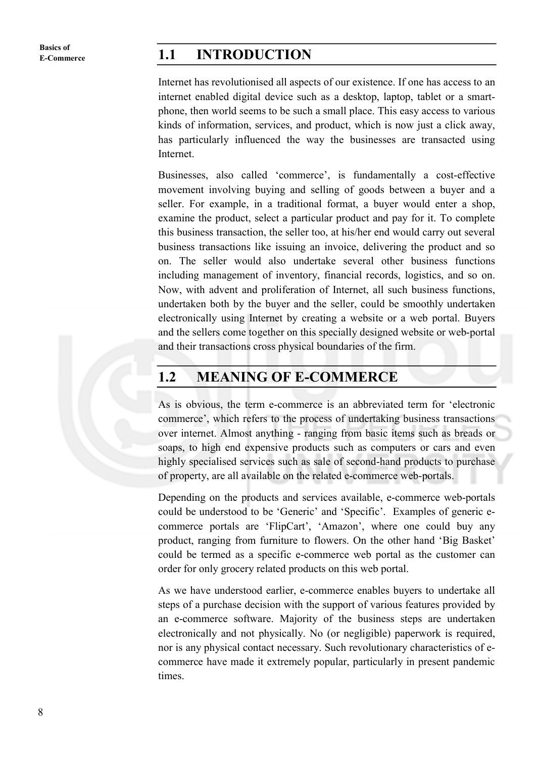**Basics of** 

#### **E-Commerce 1.1 INTRODUCTION**

Internet has revolutionised all aspects of our existence. If one has access to an internet enabled digital device such as a desktop, laptop, tablet or a smartphone, then world seems to be such a small place. This easy access to various kinds of information, services, and product, which is now just a click away, has particularly influenced the way the businesses are transacted using Internet.

Businesses, also called 'commerce', is fundamentally a cost-effective movement involving buying and selling of goods between a buyer and a seller. For example, in a traditional format, a buyer would enter a shop, examine the product, select a particular product and pay for it. To complete this business transaction, the seller too, at his/her end would carry out several business transactions like issuing an invoice, delivering the product and so on. The seller would also undertake several other business functions including management of inventory, financial records, logistics, and so on. Now, with advent and proliferation of Internet, all such business functions, undertaken both by the buyer and the seller, could be smoothly undertaken electronically using Internet by creating a website or a web portal. Buyers and the sellers come together on this specially designed website or web-portal and their transactions cross physical boundaries of the firm.

#### **1.2 MEANING OF E-COMMERCE**

As is obvious, the term e-commerce is an abbreviated term for 'electronic commerce', which refers to the process of undertaking business transactions over internet. Almost anything - ranging from basic items such as breads or soaps, to high end expensive products such as computers or cars and even highly specialised services such as sale of second-hand products to purchase of property, are all available on the related e-commerce web-portals.

Depending on the products and services available, e-commerce web-portals could be understood to be 'Generic' and 'Specific'. Examples of generic ecommerce portals are 'FlipCart', 'Amazon', where one could buy any product, ranging from furniture to flowers. On the other hand 'Big Basket' could be termed as a specific e-commerce web portal as the customer can order for only grocery related products on this web portal.

As we have understood earlier, e-commerce enables buyers to undertake all steps of a purchase decision with the support of various features provided by an e-commerce software. Majority of the business steps are undertaken electronically and not physically. No (or negligible) paperwork is required, nor is any physical contact necessary. Such revolutionary characteristics of ecommerce have made it extremely popular, particularly in present pandemic times.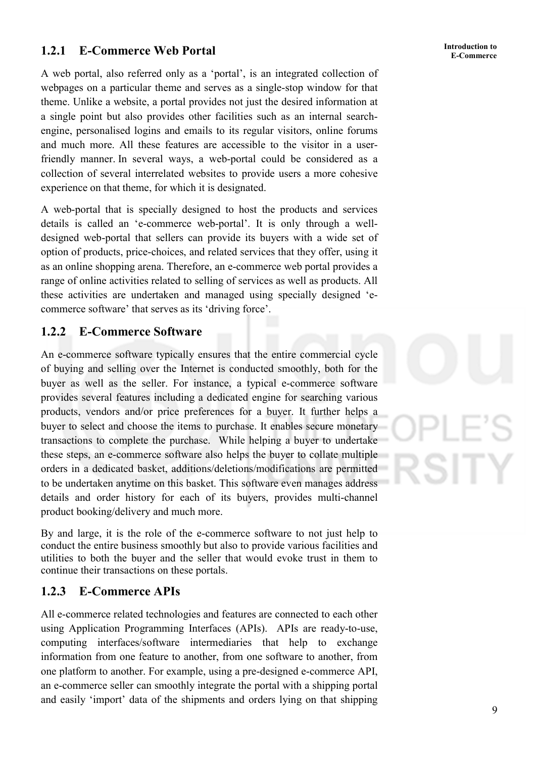# **E-Commerce 1.2.1 E-Commerce Web Portal**

A web portal, also referred only as a 'portal', is an integrated collection of webpages on a particular theme and serves as a single-stop window for that theme. Unlike a website, a portal provides not just the desired information at a single point but also provides other facilities such as an internal searchengine, personalised logins and emails to its regular visitors, online forums and much more. All these features are accessible to the visitor in a userfriendly manner. In several ways, a web-portal could be considered as a collection of several interrelated websites to provide users a more cohesive experience on that theme, for which it is designated.

A web-portal that is specially designed to host the products and services details is called an 'e-commerce web-portal'. It is only through a welldesigned web-portal that sellers can provide its buyers with a wide set of option of products, price-choices, and related services that they offer, using it as an online shopping arena. Therefore, an e-commerce web portal provides a range of online activities related to selling of services as well as products. All these activities are undertaken and managed using specially designed 'ecommerce software' that serves as its 'driving force'.

#### **1.2.2 E-Commerce Software**

An e-commerce software typically ensures that the entire commercial cycle of buying and selling over the Internet is conducted smoothly, both for the buyer as well as the seller. For instance, a typical e-commerce software provides several features including a dedicated engine for searching various products, vendors and/or price preferences for a buyer. It further helps a buyer to select and choose the items to purchase. It enables secure monetary transactions to complete the purchase. While helping a buyer to undertake these steps, an e-commerce software also helps the buyer to collate multiple orders in a dedicated basket, additions/deletions/modifications are permitted to be undertaken anytime on this basket. This software even manages address details and order history for each of its buyers, provides multi-channel product booking/delivery and much more.

By and large, it is the role of the e-commerce software to not just help to conduct the entire business smoothly but also to provide various facilities and utilities to both the buyer and the seller that would evoke trust in them to continue their transactions on these portals.

#### **1.2.3 E-Commerce APIs**

All e-commerce related technologies and features are connected to each other using Application Programming Interfaces (APIs). APIs are ready-to-use, computing interfaces/software intermediaries that help to exchange information from one feature to another, from one software to another, from one platform to another. For example, using a pre-designed e-commerce API, an e-commerce seller can smoothly integrate the portal with a shipping portal and easily 'import' data of the shipments and orders lying on that shipping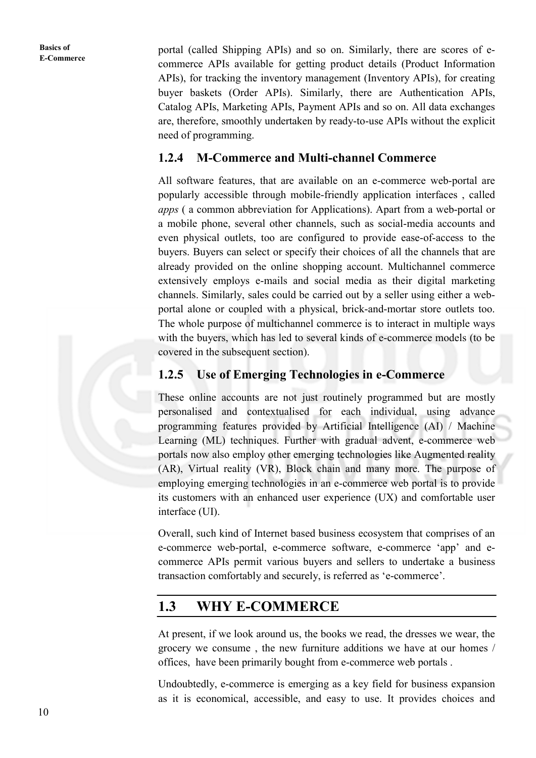portal (called Shipping APIs) and so on. Similarly, there are scores of ecommerce APIs available for getting product details (Product Information APIs), for tracking the inventory management (Inventory APIs), for creating buyer baskets (Order APIs). Similarly, there are Authentication APIs, Catalog APIs, Marketing APIs, Payment APIs and so on. All data exchanges are, therefore, smoothly undertaken by ready-to-use APIs without the explicit need of programming.

#### **1.2.4 M-Commerce and Multi-channel Commerce**

All software features, that are available on an e-commerce web-portal are popularly accessible through mobile-friendly application interfaces , called *apps* ( a common abbreviation for Applications). Apart from a web-portal or a mobile phone, several other channels, such as social-media accounts and even physical outlets, too are configured to provide ease-of-access to the buyers. Buyers can select or specify their choices of all the channels that are already provided on the online shopping account. Multichannel commerce extensively employs e-mails and social media as their digital marketing channels. Similarly, sales could be carried out by a seller using either a webportal alone or coupled with a physical, brick-and-mortar store outlets too. The whole purpose of multichannel commerce is to interact in multiple ways with the buyers, which has led to several kinds of e-commerce models (to be covered in the subsequent section).

#### **1.2.5 Use of Emerging Technologies in e-Commerce**

These online accounts are not just routinely programmed but are mostly personalised and contextualised for each individual, using advance programming features provided by Artificial Intelligence (AI) / Machine Learning (ML) techniques. Further with gradual advent, e-commerce web portals now also employ other emerging technologies like Augmented reality (AR), Virtual reality (VR), Block chain and many more. The purpose of employing emerging technologies in an e-commerce web portal is to provide its customers with an enhanced user experience (UX) and comfortable user interface (UI).

Overall, such kind of Internet based business ecosystem that comprises of an e-commerce web-portal, e-commerce software, e-commerce 'app' and ecommerce APIs permit various buyers and sellers to undertake a business transaction comfortably and securely, is referred as 'e-commerce'.

### **1.3 WHY E-COMMERCE**

At present, if we look around us, the books we read, the dresses we wear, the grocery we consume , the new furniture additions we have at our homes / offices, have been primarily bought from e-commerce web portals .

Undoubtedly, e-commerce is emerging as a key field for business expansion as it is economical, accessible, and easy to use. It provides choices and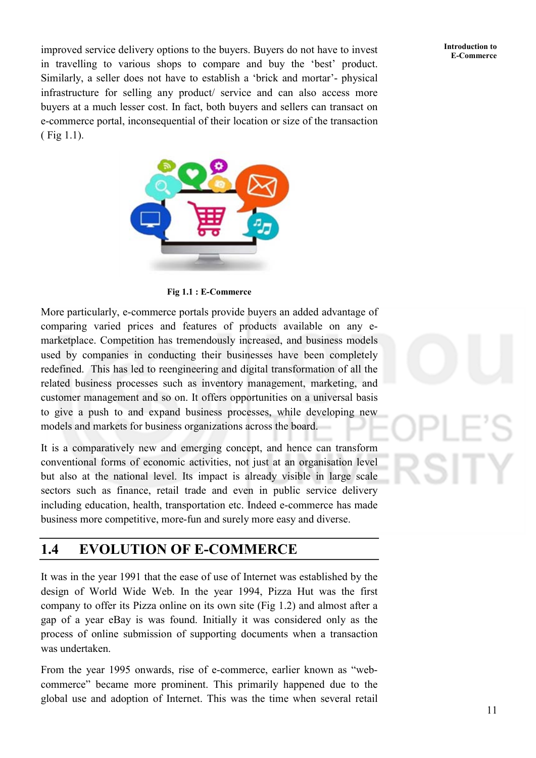**E-Commerce** improved service delivery options to the buyers. Buyers do not have to invest<br>E-Commerce in travelling to various shops to compare and buy the 'best' product. Similarly, a seller does not have to establish a 'brick and mortar'- physical infrastructure for selling any product/ service and can also access more buyers at a much lesser cost. In fact, both buyers and sellers can transact on e-commerce portal, inconsequential of their location or size of the transaction ( Fig 1.1).





**Fig 1.1 : E-Commerce** 

More particularly, e-commerce portals provide buyers an added advantage of comparing varied prices and features of products available on any emarketplace. Competition has tremendously increased, and business models used by companies in conducting their businesses have been completely redefined. This has led to reengineering and digital transformation of all the related business processes such as inventory management, marketing, and customer management and so on. It offers opportunities on a universal basis to give a push to and expand business processes, while developing new models and markets for business organizations across the board.

It is a comparatively new and emerging concept, and hence can transform conventional forms of economic activities, not just at an organisation level but also at the national level. Its impact is already visible in large scale sectors such as finance, retail trade and even in public service delivery including education, health, transportation etc. Indeed e-commerce has made business more competitive, more-fun and surely more easy and diverse.

# **1.4 EVOLUTION OF E-COMMERCE**

It was in the year 1991 that the ease of use of Internet was established by the design of World Wide Web. In the year 1994, Pizza Hut was the first company to offer its Pizza online on its own site (Fig 1.2) and almost after a gap of a year eBay is was found. Initially it was considered only as the process of online submission of supporting documents when a transaction was undertaken.

From the year 1995 onwards, rise of e-commerce, earlier known as "webcommerce" became more prominent. This primarily happened due to the global use and adoption of Internet. This was the time when several retail

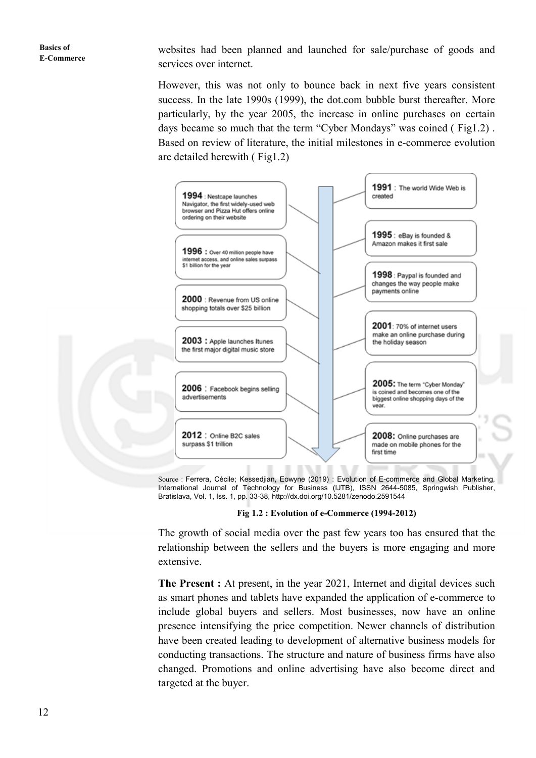websites had been planned and launched for sale/purchase of goods and services over internet.

However, this was not only to bounce back in next five years consistent success. In the late 1990s (1999), the dot.com bubble burst thereafter. More particularly, by the year 2005, the increase in online purchases on certain days became so much that the term "Cyber Mondays" was coined ( Fig1.2) . Based on review of literature, the initial milestones in e-commerce evolution are detailed herewith ( Fig1.2)



Source : Ferrera, Cécile; Kessedjian, Eowyne (2019) : Evolution of E-commerce and Global Marketing, International Journal of Technology for Business (IJTB), ISSN 2644-5085, Springwish Publisher, Bratislava, Vol. 1, Iss. 1, pp. 33-38, http://dx.doi.org/10.5281/zenodo.2591544

#### **Fig 1.2 : Evolution of e-Commerce (1994-2012)**

The growth of social media over the past few years too has ensured that the relationship between the sellers and the buyers is more engaging and more extensive.

**The Present :** At present, in the year 2021, Internet and digital devices such as smart phones and tablets have expanded the application of e-commerce to include global buyers and sellers. Most businesses, now have an online presence intensifying the price competition. Newer channels of distribution have been created leading to development of alternative business models for conducting transactions. The structure and nature of business firms have also changed. Promotions and online advertising have also become direct and targeted at the buyer.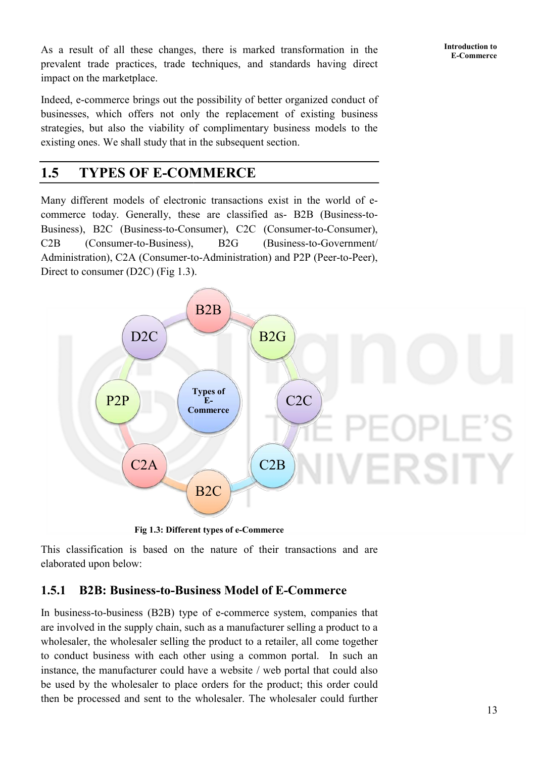As a result of all these changes, there is marked transformation in the prevalent trade practices, trade techniques, and standards having direct impact on the marketplace. It of all these changes, there is marked transformation in the trade practices, trade techniques, and standards having direct the marketplace.<br>
commerce brings out the possibility of better organized conduct of

Indeed, e-commerce brings out the possibility of better organized conduct of businesses, which offers not only the replacement of existing business strategies, but also the viability of complimentary business models to the businesses, which offers not only the replacement of existencies, but also the viability of complimentary business existing ones. We shall study that in the subsequent section.

# 1.5 TYPES OF E-COMMERCE

Many different models of electronic transactions exist in the world of ecommerce today. Generally, these are classified as- B2B (Business-to-Business), B2C (Business-to-Consumer), C2C (Consumer-to-Consumer), C2B (Consumer-to-Business), Administration), C2A (Consumer-to-Administration) and P2P (Peer-to-Peer), Direct to consumer (D2C) (Fig 1.3). B2G (Business-to-Government/



This classification is based on the nature of their transactions and are elaborated upon below:

### 1.5.1 B2B: Business-to-Business Model of E-Commerce

In business-to-business (B2B) type of e-commerce system, companies that are involved in the supply chain, such as a manufacturer selling a product to a wholesaler, the wholesaler selling the product to a retailer, all come together to conduct business with each other using a common portal. In such an instance, the manufacturer could have a website / web portal that could also be used by the wholesaler to place orders for the product; this order could then be processed and sent to the wholesaler. The wholesaler could further esaler, the wholesaler selling the product to a retailer, all come together nduct business with each other using a common portal. In such an nce, the manufacturer could have a website / web portal that could also led by th **Introduction to**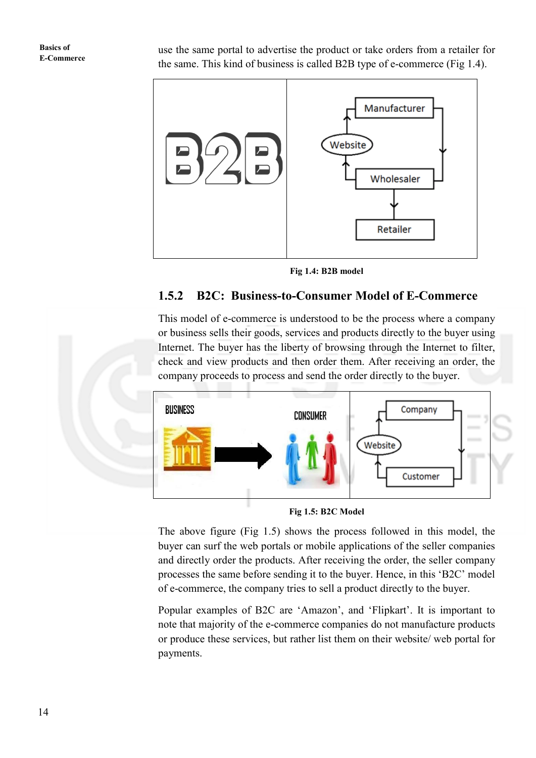use the same portal to advertise the product or take orders from a retailer for the same. This kind of business is called B2B type of e-commerce (Fig 1.4).



**Fig 1.4: B2B model** 

#### **1.5.2 B2C: Business-to-Consumer Model of E-Commerce**

This model of e-commerce is understood to be the process where a company or business sells their goods, services and products directly to the buyer using Internet. The buyer has the liberty of browsing through the Internet to filter, check and view products and then order them. After receiving an order, the company proceeds to process and send the order directly to the buyer.



**Fig 1.5: B2C Model** 

The above figure (Fig 1.5) shows the process followed in this model, the buyer can surf the web portals or mobile applications of the seller companies and directly order the products. After receiving the order, the seller company processes the same before sending it to the buyer. Hence, in this 'B2C' model of e-commerce, the company tries to sell a product directly to the buyer.

Popular examples of B2C are 'Amazon', and 'Flipkart'. It is important to note that majority of the e-commerce companies do not manufacture products or produce these services, but rather list them on their website/ web portal for payments.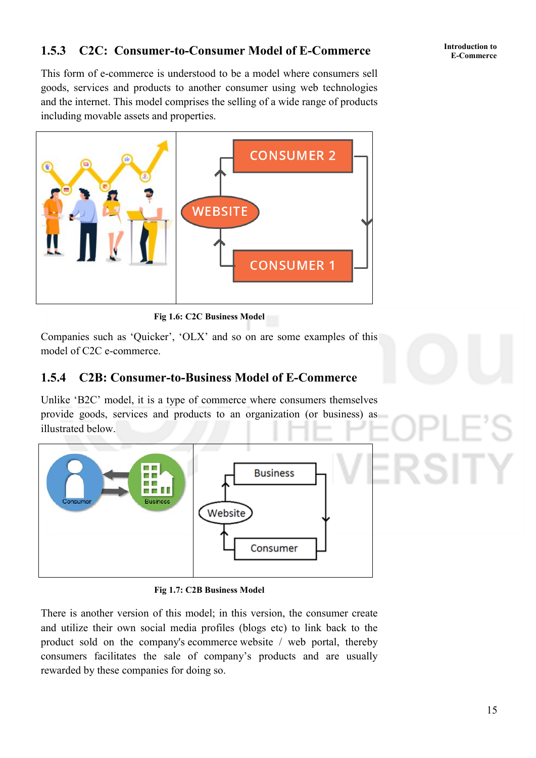# **E-Commerce 1.5.3 C2C: Consumer-to-Consumer Model of E-Commerce**

This form of e-commerce is understood to be a model where consumers sell goods, services and products to another consumer using web technologies and the internet. This model comprises the selling of a wide range of products including movable assets and properties.



**Fig 1.6: C2C Business Model** 

Companies such as 'Quicker', 'OLX' and so on are some examples of this model of C2C e-commerce.

#### **1.5.4 C2B: Consumer-to-Business Model of E-Commerce**

Unlike 'B2C' model, it is a type of commerce where consumers themselves provide goods, services and products to an organization (or business) as illustrated below.



**Fig 1.7: C2B Business Model**

There is another version of this model; in this version, the consumer create and utilize their own social media profiles (blogs etc) to link back to the product sold on the company's ecommerce website / web portal, thereby consumers facilitates the sale of company's products and are usually rewarded by these companies for doing so.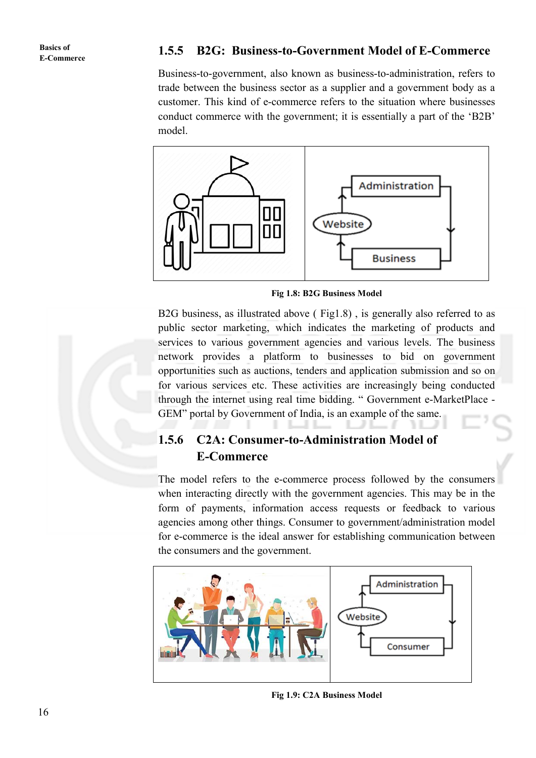#### **1.5.5 B2G: Business-to-Government Model of E-Commerce**

Business-to-government, also known as business-to-administration, refers to trade between the business sector as a supplier and a government body as a customer. This kind of e-commerce refers to the situation where businesses conduct commerce with the government; it is essentially a part of the 'B2B' model.



**Fig 1.8: B2G Business Model**

B2G business, as illustrated above ( Fig1.8) , is generally also referred to as public sector marketing, which indicates the marketing of products and services to various government agencies and various levels. The business network provides a platform to businesses to bid on government opportunities such as auctions, tenders and application submission and so on for various services etc. These activities are increasingly being conducted through the internet using real time bidding. " Government e-MarketPlace - GEM" portal by Government of India, is an example of the same.

### **1.5.6 C2A: Consumer-to-Administration Model of E-Commerce**

The model refers to the e-commerce process followed by the consumers when interacting directly with the government agencies. This may be in the form of payments, information access requests or feedback to various agencies among other things. Consumer to government/administration model for e-commerce is the ideal answer for establishing communication between the consumers and the government.



**Fig 1.9: C2A Business Model**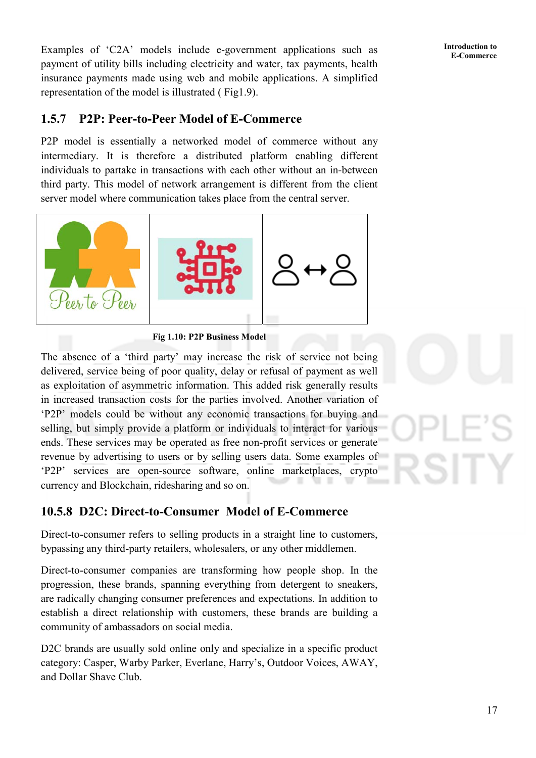**Introduction to** 

Examples of 'C2A' models include e-government applications such as **Introduction to**<br>E-Commerce payment of utility bills including electricity and water, tax payments, health insurance payments made using web and mobile applications. A simplified representation of the model is illustrated ( Fig1.9).

#### **1.5.7 P2P: Peer-to-Peer Model of E-Commerce**

P2P model is essentially a networked model of commerce without any intermediary. It is therefore a distributed platform enabling different individuals to partake in transactions with each other without an in-between third party. This model of network arrangement is different from the client server model where communication takes place from the central server.



**Fig 1.10: P2P Business Model**

The absence of a 'third party' may increase the risk of service not being delivered, service being of poor quality, delay or refusal of payment as well as exploitation of asymmetric information. This added risk generally results in increased transaction costs for the parties involved. Another variation of 'P2P' models could be without any economic transactions for buying and selling, but simply provide a platform or individuals to interact for various ends. These services may be operated as free non-profit services or generate revenue by advertising to users or by selling users data. Some examples of 'P2P' services are open-source software, online marketplaces, crypto currency and Blockchain, ridesharing and so on.

### **10.5.8 D2C: Direct-to-Consumer Model of E-Commerce**

Direct-to-consumer refers to selling products in a straight line to customers, bypassing any third-party retailers, wholesalers, or any other middlemen.

Direct-to-consumer companies are transforming how people shop. In the progression, these brands, spanning everything from detergent to sneakers, are radically changing consumer preferences and expectations. In addition to establish a direct relationship with customers, these brands are building a community of ambassadors on social media.

D<sub>2</sub>C brands are usually sold online only and specialize in a specific product category: Casper, Warby Parker, Everlane, Harry's, Outdoor Voices, AWAY, and Dollar Shave Club.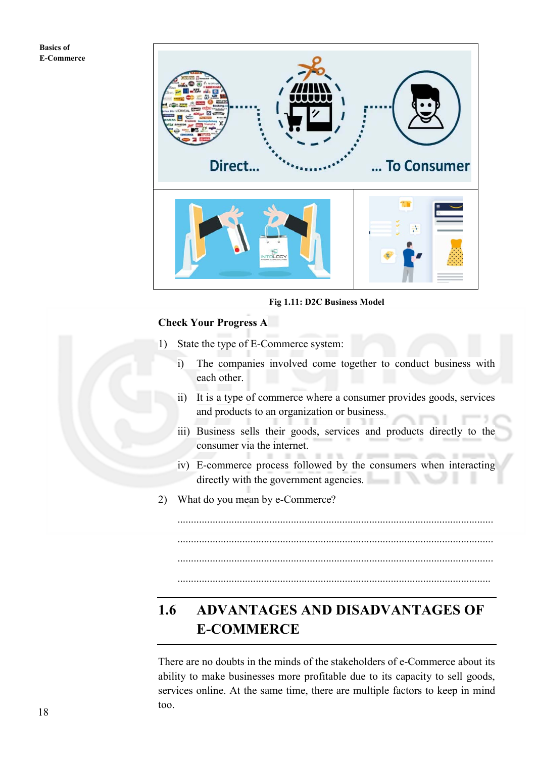

**Fig 1.11: D2C Business Model**

#### **Check Your Progress A**

- 1) State the type of E-Commerce system:
	- i) The companies involved come together to conduct business with each other.
	- ii) It is a type of commerce where a consumer provides goods, services and products to an organization or business.
	- iii) Business sells their goods, services and products directly to the consumer via the internet.  $-10$

 $22^{\circ}$  3.9%

iv) E-commerce process followed by the consumers when interacting directly with the government agencies. - 1

.....................................................................................................................

.....................................................................................................................

.....................................................................................................................

2) What do you mean by e-Commerce?

# **1.6 ADVANTAGES AND DISADVANTAGES OF E-COMMERCE**

There are no doubts in the minds of the stakeholders of e-Commerce about its ability to make businesses more profitable due to its capacity to sell goods, services online. At the same time, there are multiple factors to keep in mind too.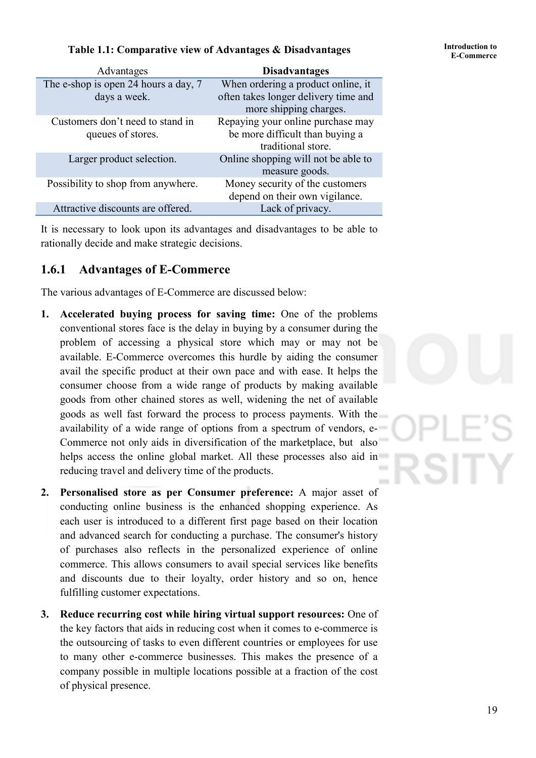## **Table 1.1: Comparative view of Advantages & Disadvantages Finite duction to**

| Advantages                           | <b>Disadvantages</b>                 |
|--------------------------------------|--------------------------------------|
| The e-shop is open 24 hours a day, 7 | When ordering a product online, it   |
| days a week.                         | often takes longer delivery time and |
|                                      | more shipping charges.               |
| Customers don't need to stand in     | Repaying your online purchase may    |
| queues of stores.                    | be more difficult than buying a      |
|                                      | traditional store.                   |
| Larger product selection.            | Online shopping will not be able to  |
|                                      | measure goods.                       |
| Possibility to shop from anywhere.   | Money security of the customers      |
|                                      | depend on their own vigilance.       |
| Attractive discounts are offered.    | Lack of privacy.                     |

It is necessary to look upon its advantages and disadvantages to be able to rationally decide and make strategic decisions.

#### **1.6.1 Advantages of E-Commerce**

The various advantages of E-Commerce are discussed below:

- **1. Accelerated buying process for saving time:** One of the problems conventional stores face is the delay in buying by a consumer during the problem of accessing a physical store which may or may not be available. E-Commerce overcomes this hurdle by aiding the consumer avail the specific product at their own pace and with ease. It helps the consumer choose from a wide range of products by making available goods from other chained stores as well, widening the net of available goods as well fast forward the process to process payments. With the availability of a wide range of options from a spectrum of vendors, e-Commerce not only aids in diversification of the marketplace, but also helps access the online global market. All these processes also aid in  $\mathcal{L}$ reducing travel and delivery time of the products.
- **2. Personalised store as per Consumer preference:** A major asset of conducting online business is the enhanced shopping experience. As each user is introduced to a different first page based on their location and advanced search for conducting a purchase. The consumer's history of purchases also reflects in the personalized experience of online commerce. This allows consumers to avail special services like benefits and discounts due to their loyalty, order history and so on, hence fulfilling customer expectations.
- **3. Reduce recurring cost while hiring virtual support resources:** One of the key factors that aids in reducing cost when it comes to e-commerce is the outsourcing of tasks to even different countries or employees for use to many other e-commerce businesses. This makes the presence of a company possible in multiple locations possible at a fraction of the cost of physical presence.

19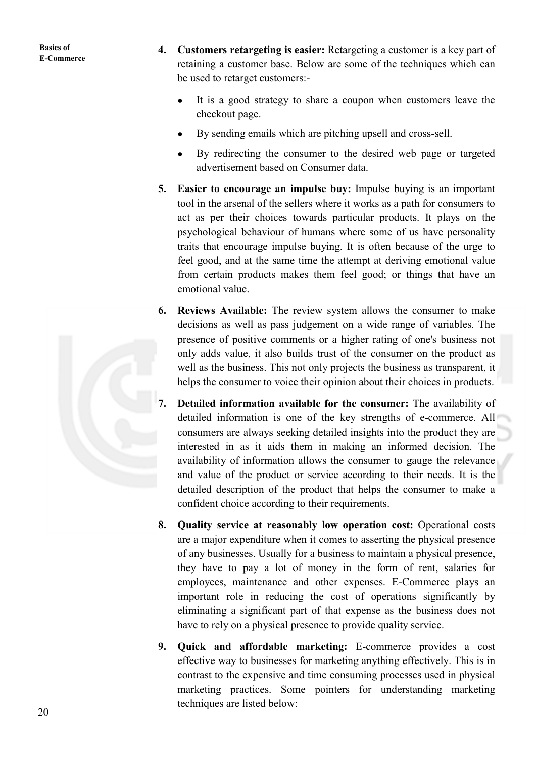- **4. Customers retargeting is easier:** Retargeting a customer is a key part of retaining a customer base. Below are some of the techniques which can be used to retarget customers:-
	- It is a good strategy to share a coupon when customers leave the checkout page.
	- By sending emails which are pitching upsell and cross-sell.
	- By redirecting the consumer to the desired web page or targeted advertisement based on Consumer data.
- **5. Easier to encourage an impulse buy:** Impulse buying is an important tool in the arsenal of the sellers where it works as a path for consumers to act as per their choices towards particular products. It plays on the psychological behaviour of humans where some of us have personality traits that encourage impulse buying. It is often because of the urge to feel good, and at the same time the attempt at deriving emotional value from certain products makes them feel good; or things that have an emotional value.
- **6. Reviews Available:** The review system allows the consumer to make decisions as well as pass judgement on a wide range of variables. The presence of positive comments or a higher rating of one's business not only adds value, it also builds trust of the consumer on the product as well as the business. This not only projects the business as transparent, it helps the consumer to voice their opinion about their choices in products.
- **7. Detailed information available for the consumer:** The availability of detailed information is one of the key strengths of e-commerce. All consumers are always seeking detailed insights into the product they are interested in as it aids them in making an informed decision. The availability of information allows the consumer to gauge the relevance and value of the product or service according to their needs. It is the detailed description of the product that helps the consumer to make a confident choice according to their requirements.
- **8. Quality service at reasonably low operation cost:** Operational costs are a major expenditure when it comes to asserting the physical presence of any businesses. Usually for a business to maintain a physical presence, they have to pay a lot of money in the form of rent, salaries for employees, maintenance and other expenses. E-Commerce plays an important role in reducing the cost of operations significantly by eliminating a significant part of that expense as the business does not have to rely on a physical presence to provide quality service.
- **9. Quick and affordable marketing:** E-commerce provides a cost effective way to businesses for marketing anything effectively. This is in contrast to the expensive and time consuming processes used in physical marketing practices. Some pointers for understanding marketing techniques are listed below: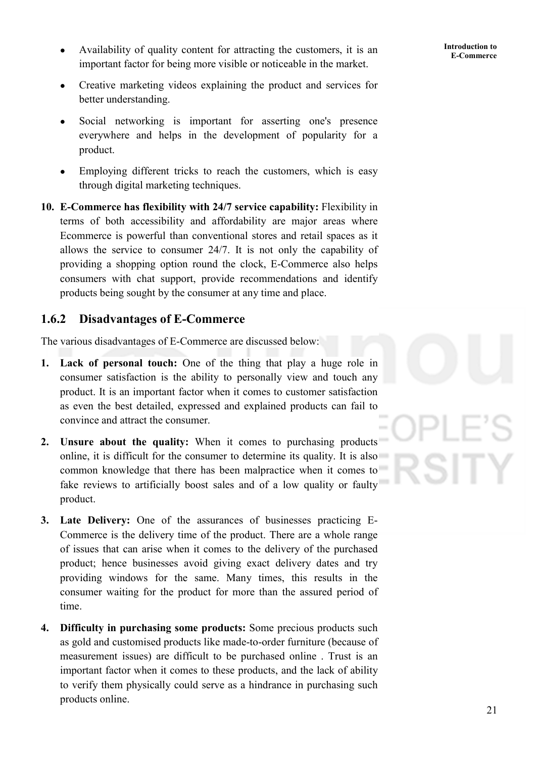- **E-Commerce** Availability of quality content for attracting the customers, it is an **E-Commerce** important factor for being more visible or noticeable in the market.
- Creative marketing videos explaining the product and services for better understanding.
- Social networking is important for asserting one's presence everywhere and helps in the development of popularity for a product.
- Employing different tricks to reach the customers, which is easy through digital marketing techniques.
- **10. E-Commerce has flexibility with 24/7 service capability:** Flexibility in terms of both accessibility and affordability are major areas where Ecommerce is powerful than conventional stores and retail spaces as it allows the service to consumer 24/7. It is not only the capability of providing a shopping option round the clock, E-Commerce also helps consumers with chat support, provide recommendations and identify products being sought by the consumer at any time and place.

#### **1.6.2 Disadvantages of E-Commerce**

The various disadvantages of E-Commerce are discussed below:

- **1. Lack of personal touch:** One of the thing that play a huge role in consumer satisfaction is the ability to personally view and touch any product. It is an important factor when it comes to customer satisfaction as even the best detailed, expressed and explained products can fail to convince and attract the consumer.
- **2. Unsure about the quality:** When it comes to purchasing products online, it is difficult for the consumer to determine its quality. It is also common knowledge that there has been malpractice when it comes to fake reviews to artificially boost sales and of a low quality or faulty product.
- **3. Late Delivery:** One of the assurances of businesses practicing E-Commerce is the delivery time of the product. There are a whole range of issues that can arise when it comes to the delivery of the purchased product; hence businesses avoid giving exact delivery dates and try providing windows for the same. Many times, this results in the consumer waiting for the product for more than the assured period of time.
- **4. Difficulty in purchasing some products:** Some precious products such as gold and customised products like made-to-order furniture (because of measurement issues) are difficult to be purchased online . Trust is an important factor when it comes to these products, and the lack of ability to verify them physically could serve as a hindrance in purchasing such products online.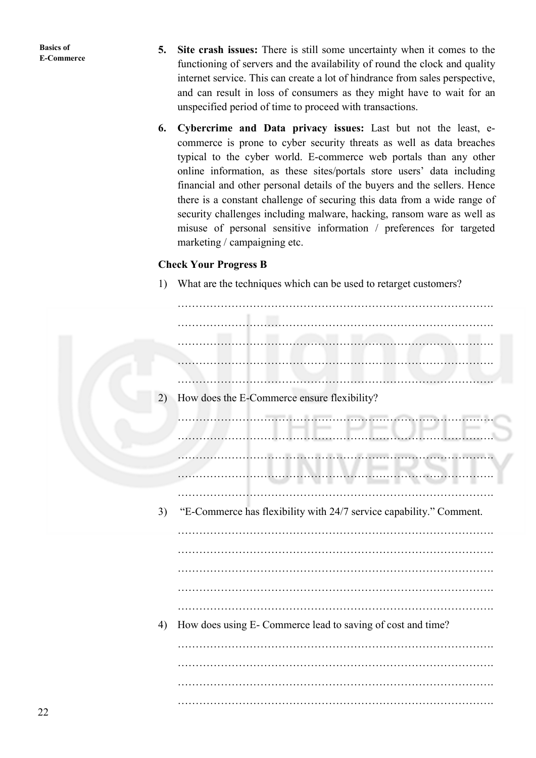- **5. Site crash issues:** There is still some uncertainty when it comes to the functioning of servers and the availability of round the clock and quality internet service. This can create a lot of hindrance from sales perspective, and can result in loss of consumers as they might have to wait for an unspecified period of time to proceed with transactions.
- **6. Cybercrime and Data privacy issues:** Last but not the least, ecommerce is prone to cyber security threats as well as data breaches typical to the cyber world. E-commerce web portals than any other online information, as these sites/portals store users' data including financial and other personal details of the buyers and the sellers. Hence there is a constant challenge of securing this data from a wide range of security challenges including malware, hacking, ransom ware as well as misuse of personal sensitive information / preferences for targeted marketing / campaigning etc.

#### **Check Your Progress B**

1) What are the techniques which can be used to retarget customers?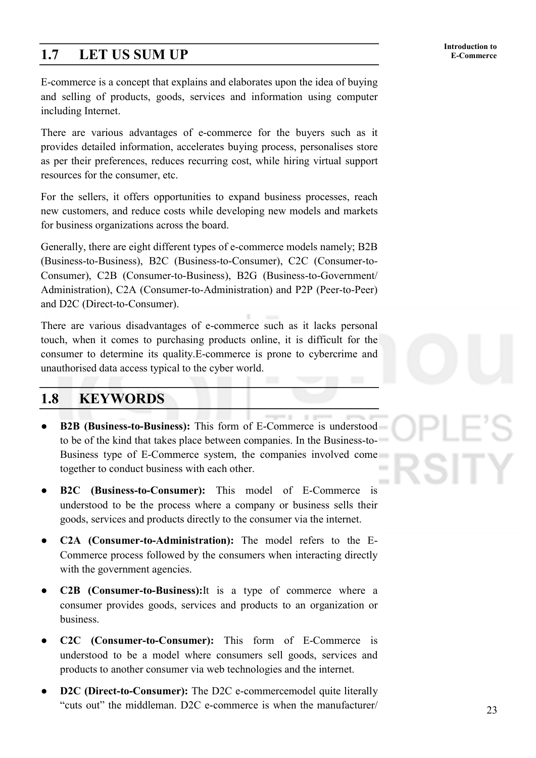# **1.7** LET US SUM UP E-Commerce

E-commerce is a concept that explains and elaborates upon the idea of buying and selling of products, goods, services and information using computer including Internet.

There are various advantages of e-commerce for the buyers such as it provides detailed information, accelerates buying process, personalises store as per their preferences, reduces recurring cost, while hiring virtual support resources for the consumer, etc.

For the sellers, it offers opportunities to expand business processes, reach new customers, and reduce costs while developing new models and markets for business organizations across the board.

Generally, there are eight different types of e-commerce models namely; B2B (Business-to-Business), B2C (Business-to-Consumer), C2C (Consumer-to-Consumer), C2B (Consumer-to-Business), B2G (Business-to-Government/ Administration), C2A (Consumer-to-Administration) and P2P (Peer-to-Peer) and D2C (Direct-to-Consumer).

There are various disadvantages of e-commerce such as it lacks personal touch, when it comes to purchasing products online, it is difficult for the consumer to determine its quality.E-commerce is prone to cybercrime and unauthorised data access typical to the cyber world.

### **1.8 KEYWORDS**

- **B2B (Business-to-Business):** This form of E-Commerce is understood to be of the kind that takes place between companies. In the Business-to-Business type of E-Commerce system, the companies involved come together to conduct business with each other.
- **B2C** (Business-to-Consumer): This model of E-Commerce is understood to be the process where a company or business sells their goods, services and products directly to the consumer via the internet.
- **C2A (Consumer-to-Administration):** The model refers to the E-Commerce process followed by the consumers when interacting directly with the government agencies.
- **C2B** (Consumer-to-Business): It is a type of commerce where a consumer provides goods, services and products to an organization or business.
- **C2C (Consumer-to-Consumer):** This form of E-Commerce is understood to be a model where consumers sell goods, services and products to another consumer via web technologies and the internet.
- **D2C (Direct-to-Consumer):** The D2C e-commercemodel quite literally "cuts out" the middleman. D2C e-commerce is when the manufacturer/